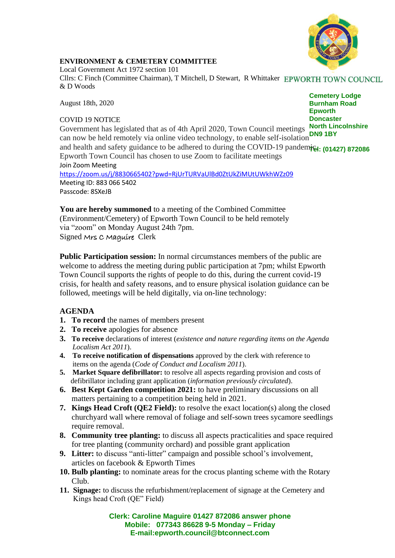

## **ENVIRONMENT & CEMETERY COMMITTEE**

Local Government Act 1972 section 101 Cllrs: C Finch (Committee Chairman), T Mitchell, D Stewart, R Whittaker & D Woods

August 18th, 2020

## COVID 19 NOTICE

**Cemetery Lodge Burnham Road Epworth Doncaster**

Government has legislated that as of 4th April 2020, Town Council meetings **North Lincolnshire DN9 1BY** can now be held remotely via online video technology, to enable self-isolation and health and safety guidance to be adhered to during the COVID-19 pandemic<sub>1:</sub> (01427) 872086 Epworth Town Council has chosen to use Zoom to facilitate meetings Join Zoom Meeting <https://zoom.us/j/8830665402?pwd=RjUrTURVaUlBd0ZtUkZiMUtUWkhWZz09> Meeting ID: 883 066 5402 Passcode: 8SXeJB

**You are hereby summoned** to a meeting of the Combined Committee (Environment/Cemetery) of Epworth Town Council to be held remotely via "zoom" on Monday August 24th 7pm. Signed Mrs C Maguire Clerk

**Public Participation session:** In normal circumstances members of the public are welcome to address the meeting during public participation at 7pm; whilst Epworth Town Council supports the rights of people to do this, during the current covid-19 crisis, for health and safety reasons, and to ensure physical isolation guidance can be followed, meetings will be held digitally, via on-line technology:

## **AGENDA**

- **1. To record** the names of members present
- **2. To receive** apologies for absence
- **3. To receive** declarations of interest (*existence and nature regarding items on the Agenda Localism Act 2011*).
- **4. To receive notification of dispensations** approved by the clerk with reference to items on the agenda (*Code of Conduct and Localism 2011*).
- **5. Market Square defibrillator:** to resolve all aspects regarding provision and costs of defibrillator including grant application (*information previously circulated*).
- **6. Best Kept Garden competition 2021:** to have preliminary discussions on all matters pertaining to a competition being held in 2021.
- **7. Kings Head Croft (QE2 Field):** to resolve the exact location(s) along the closed churchyard wall where removal of foliage and self-sown trees sycamore seedlings require removal.
- **8. Community tree planting:** to discuss all aspects practicalities and space required for tree planting (community orchard) and possible grant application
- **9. Litter:** to discuss "anti-litter" campaign and possible school's involvement, articles on facebook & Epworth Times
- **10. Bulb planting:** to nominate areas for the crocus planting scheme with the Rotary Club.
- **11. Signage:** to discuss the refurbishment/replacement of signage at the Cemetery and Kings head Croft (QE" Field)

**Clerk: Caroline Maguire 01427 872086 answer phone Mobile: 077343 86628 9-5 Monday – Friday E-mail:epworth.council@btconnect.com**